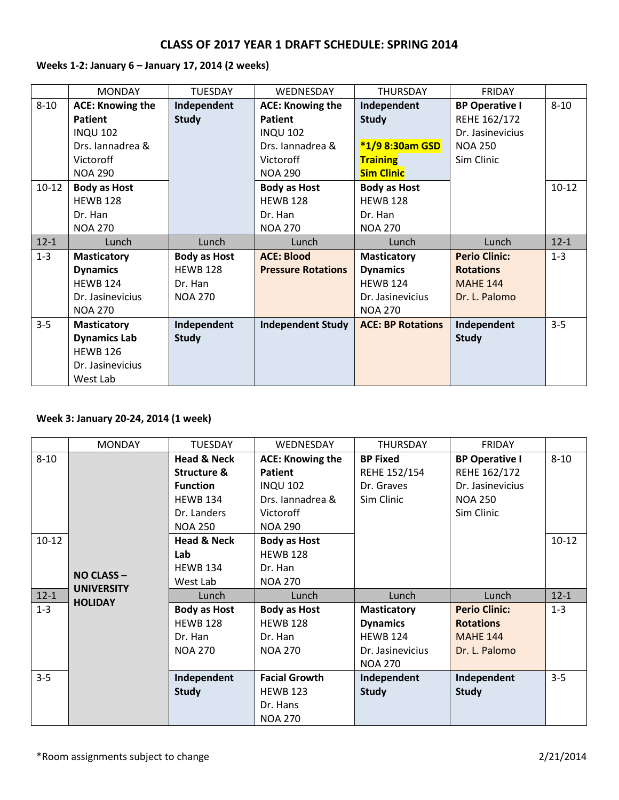# **Weeks 1-2: January 6 – January 17, 2014 (2 weeks)**

|          | <b>MONDAY</b>           | <b>TUESDAY</b>      | WEDNESDAY                 | <b>THURSDAY</b>          | <b>FRIDAY</b>         |           |
|----------|-------------------------|---------------------|---------------------------|--------------------------|-----------------------|-----------|
| $8 - 10$ | <b>ACE: Knowing the</b> | Independent         | <b>ACE: Knowing the</b>   | Independent              | <b>BP Operative I</b> | $8 - 10$  |
|          | <b>Patient</b>          | <b>Study</b>        | <b>Patient</b>            | <b>Study</b>             | REHE 162/172          |           |
|          | <b>INQU 102</b>         |                     | <b>INQU 102</b>           |                          | Dr. Jasinevicius      |           |
|          | Drs. Jannadrea &        |                     | Drs. Jannadrea &          | *1/9 8:30am GSD          | <b>NOA 250</b>        |           |
|          | Victoroff               |                     | Victoroff                 | <b>Training</b>          | Sim Clinic            |           |
|          | <b>NOA 290</b>          |                     | <b>NOA 290</b>            | <b>Sim Clinic</b>        |                       |           |
| $10-12$  | <b>Body as Host</b>     |                     | <b>Body as Host</b>       | <b>Body as Host</b>      |                       | $10 - 12$ |
|          | <b>HEWB 128</b>         |                     | <b>HEWB 128</b>           | <b>HEWB 128</b>          |                       |           |
|          | Dr. Han                 |                     | Dr. Han                   | Dr. Han                  |                       |           |
|          | <b>NOA 270</b>          |                     | <b>NOA 270</b>            | <b>NOA 270</b>           |                       |           |
| $12 - 1$ | Lunch                   | Lunch               | Lunch                     | Lunch                    | Lunch                 | $12 - 1$  |
| $1 - 3$  | <b>Masticatory</b>      | <b>Body as Host</b> | <b>ACE: Blood</b>         | <b>Masticatory</b>       | <b>Perio Clinic:</b>  | $1 - 3$   |
|          | <b>Dynamics</b>         | <b>HEWB 128</b>     | <b>Pressure Rotations</b> | <b>Dynamics</b>          | <b>Rotations</b>      |           |
|          | <b>HEWB 124</b>         | Dr. Han             |                           | <b>HEWB 124</b>          | <b>MAHE 144</b>       |           |
|          | Dr. Jasinevicius        | <b>NOA 270</b>      |                           | Dr. Jasinevicius         | Dr. L. Palomo         |           |
|          | <b>NOA 270</b>          |                     |                           | <b>NOA 270</b>           |                       |           |
| $3 - 5$  | <b>Masticatory</b>      | Independent         | <b>Independent Study</b>  | <b>ACE: BP Rotations</b> | Independent           | $3 - 5$   |
|          | <b>Dynamics Lab</b>     | <b>Study</b>        |                           |                          | <b>Study</b>          |           |
|          | <b>HEWB 126</b>         |                     |                           |                          |                       |           |
|          | Dr. Jasinevicius        |                     |                           |                          |                       |           |
|          | West Lab                |                     |                           |                          |                       |           |

# **Week 3: January 20-24, 2014 (1 week)**

|          | <b>MONDAY</b>                         | <b>TUESDAY</b>         | WEDNESDAY               | <b>THURSDAY</b>    | <b>FRIDAY</b>         |           |
|----------|---------------------------------------|------------------------|-------------------------|--------------------|-----------------------|-----------|
| $8 - 10$ |                                       | <b>Head &amp; Neck</b> | <b>ACE: Knowing the</b> | <b>BP Fixed</b>    | <b>BP Operative I</b> | $8 - 10$  |
|          |                                       | <b>Structure &amp;</b> | <b>Patient</b>          | REHE 152/154       | REHE 162/172          |           |
|          |                                       | <b>Function</b>        | <b>INQU 102</b>         | Dr. Graves         | Dr. Jasinevicius      |           |
|          |                                       | <b>HEWB 134</b>        | Drs. Iannadrea &        | Sim Clinic         | <b>NOA 250</b>        |           |
|          |                                       | Dr. Landers            | Victoroff               |                    | Sim Clinic            |           |
|          |                                       | <b>NOA 250</b>         | <b>NOA 290</b>          |                    |                       |           |
| $10-12$  |                                       | <b>Head &amp; Neck</b> | <b>Body as Host</b>     |                    |                       | $10 - 12$ |
|          |                                       | Lab                    | <b>HEWB 128</b>         |                    |                       |           |
|          |                                       | <b>HEWB 134</b>        | Dr. Han                 |                    |                       |           |
|          | <b>NO CLASS-</b><br><b>UNIVERSITY</b> | West Lab               | <b>NOA 270</b>          |                    |                       |           |
| $12 - 1$ | <b>HOLIDAY</b>                        | Lunch                  | Lunch                   | Lunch              | Lunch                 | $12 - 1$  |
| $1 - 3$  |                                       | <b>Body as Host</b>    | <b>Body as Host</b>     | <b>Masticatory</b> | <b>Perio Clinic:</b>  | $1 - 3$   |
|          |                                       | <b>HEWB 128</b>        | <b>HEWB 128</b>         | <b>Dynamics</b>    | <b>Rotations</b>      |           |
|          |                                       | Dr. Han                | Dr. Han                 | <b>HEWB 124</b>    | <b>MAHE 144</b>       |           |
|          |                                       | <b>NOA 270</b>         | <b>NOA 270</b>          | Dr. Jasinevicius   | Dr. L. Palomo         |           |
|          |                                       |                        |                         | <b>NOA 270</b>     |                       |           |
| $3 - 5$  |                                       | Independent            | <b>Facial Growth</b>    | Independent        | Independent           | $3 - 5$   |
|          |                                       | <b>Study</b>           | <b>HEWB 123</b>         | <b>Study</b>       | <b>Study</b>          |           |
|          |                                       |                        | Dr. Hans                |                    |                       |           |
|          |                                       |                        | <b>NOA 270</b>          |                    |                       |           |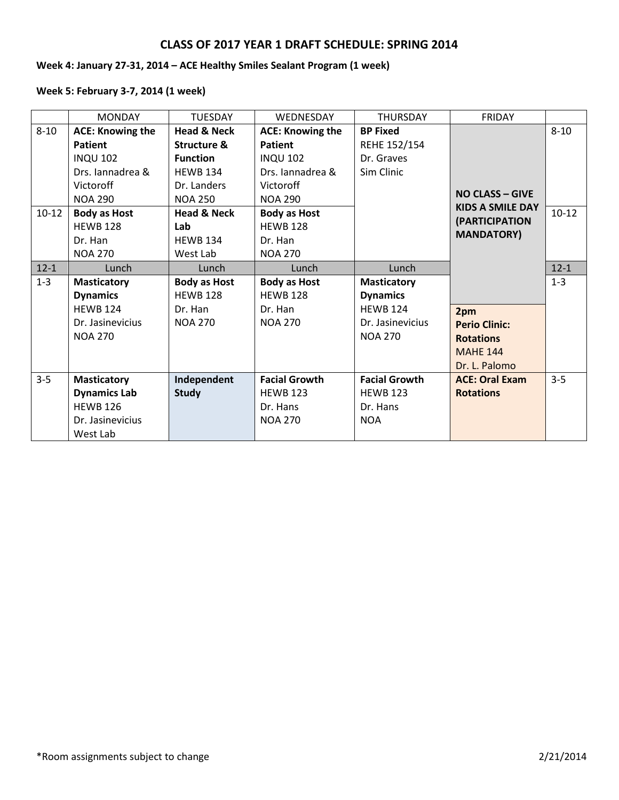# **Week 4: January 27-31, 2014 – ACE Healthy Smiles Sealant Program (1 week)**

# **Week 5: February 3-7, 2014 (1 week)**

|           | <b>MONDAY</b>           | <b>TUESDAY</b>         | <b>WEDNESDAY</b>        | <b>THURSDAY</b>      | <b>FRIDAY</b>                                     |          |
|-----------|-------------------------|------------------------|-------------------------|----------------------|---------------------------------------------------|----------|
| $8 - 10$  | <b>ACE: Knowing the</b> | <b>Head &amp; Neck</b> | <b>ACE: Knowing the</b> | <b>BP Fixed</b>      |                                                   | $8 - 10$ |
|           | <b>Patient</b>          | Structure &            | <b>Patient</b>          | REHE 152/154         |                                                   |          |
|           | <b>INQU 102</b>         | <b>Function</b>        | <b>INQU 102</b>         | Dr. Graves           |                                                   |          |
|           | Drs. Jannadrea &        | <b>HEWB 134</b>        | Drs. Jannadrea &        | Sim Clinic           |                                                   |          |
|           | Victoroff               | Dr. Landers            | <b>Victoroff</b>        |                      |                                                   |          |
|           | <b>NOA 290</b>          | <b>NOA 250</b>         | <b>NOA 290</b>          |                      | <b>NO CLASS - GIVE</b><br><b>KIDS A SMILE DAY</b> |          |
| $10 - 12$ | <b>Body as Host</b>     | <b>Head &amp; Neck</b> | <b>Body as Host</b>     |                      |                                                   | $10-12$  |
|           | <b>HEWB 128</b>         | Lab                    | <b>HEWB 128</b>         |                      | (PARTICIPATION                                    |          |
|           | Dr. Han                 | <b>HEWB 134</b>        | Dr. Han                 |                      | <b>MANDATORY)</b>                                 |          |
|           | <b>NOA 270</b>          | West Lab               | <b>NOA 270</b>          |                      |                                                   |          |
| $12 - 1$  | Lunch                   | Lunch                  | Lunch                   | Lunch                |                                                   | $12 - 1$ |
| $1 - 3$   | <b>Masticatory</b>      | <b>Body as Host</b>    | <b>Body as Host</b>     | <b>Masticatory</b>   |                                                   | $1 - 3$  |
|           | <b>Dynamics</b>         | <b>HEWB 128</b>        | <b>HEWB 128</b>         | <b>Dynamics</b>      |                                                   |          |
|           | <b>HEWB 124</b>         | Dr. Han                | Dr. Han                 | <b>HEWB 124</b>      | 2pm                                               |          |
|           | Dr. Jasinevicius        | <b>NOA 270</b>         | <b>NOA 270</b>          | Dr. Jasinevicius     | <b>Perio Clinic:</b>                              |          |
|           | <b>NOA 270</b>          |                        |                         | <b>NOA 270</b>       | <b>Rotations</b>                                  |          |
|           |                         |                        |                         |                      | <b>MAHF 144</b>                                   |          |
|           |                         |                        |                         |                      | Dr. L. Palomo                                     |          |
| $3 - 5$   | <b>Masticatory</b>      | Independent            | <b>Facial Growth</b>    | <b>Facial Growth</b> | <b>ACE: Oral Exam</b>                             | $3 - 5$  |
|           | <b>Dynamics Lab</b>     | <b>Study</b>           | <b>HEWB 123</b>         | <b>HEWB 123</b>      | <b>Rotations</b>                                  |          |
|           | <b>HEWB 126</b>         |                        | Dr. Hans                | Dr. Hans             |                                                   |          |
|           | Dr. Jasinevicius        |                        | <b>NOA 270</b>          | <b>NOA</b>           |                                                   |          |
|           | West Lab                |                        |                         |                      |                                                   |          |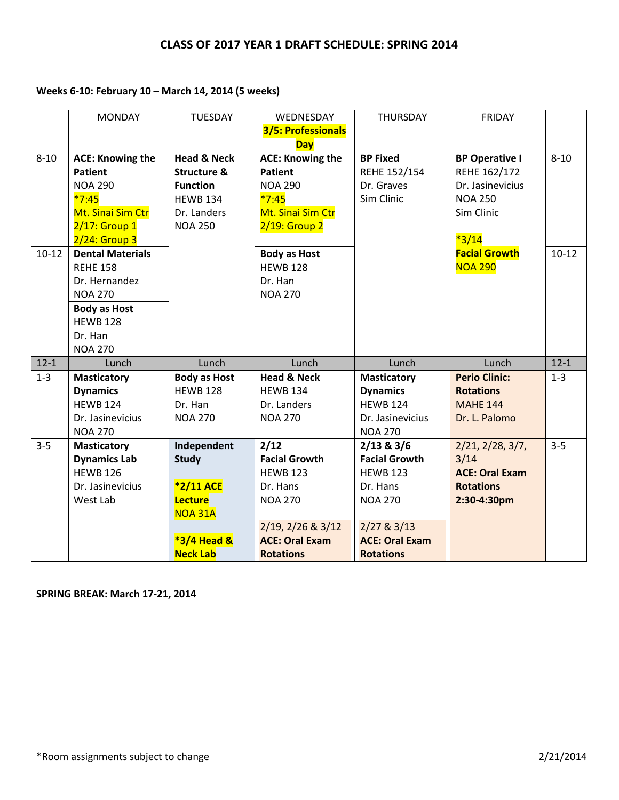# **Weeks 6-10: February 10 – March 14, 2014 (5 weeks)**

|                       | <b>MONDAY</b>                                                                                                                                                                                                                               | <b>TUESDAY</b>                                                                                                          | WEDNESDAY<br>3/5: Professionals<br><b>Day</b>                                                                                                                                       | <b>THURSDAY</b>                                                                                    | <b>FRIDAY</b>                                                                                                                                  |                     |
|-----------------------|---------------------------------------------------------------------------------------------------------------------------------------------------------------------------------------------------------------------------------------------|-------------------------------------------------------------------------------------------------------------------------|-------------------------------------------------------------------------------------------------------------------------------------------------------------------------------------|----------------------------------------------------------------------------------------------------|------------------------------------------------------------------------------------------------------------------------------------------------|---------------------|
| $8 - 10$<br>$10 - 12$ | <b>ACE: Knowing the</b><br><b>Patient</b><br><b>NOA 290</b><br>$*7:45$<br>Mt. Sinai Sim Ctr<br>$2/17$ : Group 1<br>$2/24$ : Group 3<br><b>Dental Materials</b><br><b>REHE 158</b><br>Dr. Hernandez<br><b>NOA 270</b><br><b>Body as Host</b> | <b>Head &amp; Neck</b><br><b>Structure &amp;</b><br><b>Function</b><br><b>HEWB 134</b><br>Dr. Landers<br><b>NOA 250</b> | <b>ACE: Knowing the</b><br><b>Patient</b><br><b>NOA 290</b><br>$*7:45$<br>Mt. Sinai Sim Ctr<br>2/19: Group 2<br><b>Body as Host</b><br><b>HEWB 128</b><br>Dr. Han<br><b>NOA 270</b> | <b>BP Fixed</b><br>REHE 152/154<br>Dr. Graves<br>Sim Clinic                                        | <b>BP Operative I</b><br>REHE 162/172<br>Dr. Jasinevicius<br><b>NOA 250</b><br>Sim Clinic<br>$*3/14$<br><b>Facial Growth</b><br><b>NOA 290</b> | $8 - 10$<br>$10-12$ |
|                       | <b>HEWB 128</b><br>Dr. Han<br><b>NOA 270</b>                                                                                                                                                                                                |                                                                                                                         |                                                                                                                                                                                     |                                                                                                    |                                                                                                                                                |                     |
| $12 - 1$              | Lunch                                                                                                                                                                                                                                       | Lunch                                                                                                                   | Lunch                                                                                                                                                                               | Lunch                                                                                              | Lunch                                                                                                                                          | $12 - 1$            |
| $1 - 3$               | <b>Masticatory</b><br><b>Dynamics</b><br><b>HEWB 124</b>                                                                                                                                                                                    | <b>Body as Host</b><br><b>HEWB 128</b><br>Dr. Han                                                                       | <b>Head &amp; Neck</b><br><b>HEWB 134</b><br>Dr. Landers                                                                                                                            | <b>Masticatory</b><br><b>Dynamics</b><br><b>HEWB 124</b>                                           | <b>Perio Clinic:</b><br><b>Rotations</b><br><b>MAHE 144</b>                                                                                    | $1 - 3$             |
|                       | Dr. Jasinevicius<br><b>NOA 270</b>                                                                                                                                                                                                          | <b>NOA 270</b>                                                                                                          | <b>NOA 270</b>                                                                                                                                                                      | Dr. Jasinevicius<br><b>NOA 270</b>                                                                 | Dr. L. Palomo                                                                                                                                  |                     |
| $3 - 5$               | <b>Masticatory</b><br><b>Dynamics Lab</b><br><b>HEWB 126</b><br>Dr. Jasinevicius<br>West Lab                                                                                                                                                | Independent<br><b>Study</b><br>*2/11 ACE<br>Lecture<br><b>NOA 31A</b>                                                   | 2/12<br><b>Facial Growth</b><br><b>HEWB 123</b><br>Dr. Hans<br><b>NOA 270</b><br>2/19, 2/26 & 3/12                                                                                  | 2/13 & 3/6<br><b>Facial Growth</b><br><b>HEWB 123</b><br>Dr. Hans<br><b>NOA 270</b><br>2/27 & 3/13 | 2/21, 2/28, 3/7,<br>3/14<br><b>ACE: Oral Exam</b><br><b>Rotations</b><br>2:30-4:30pm                                                           | $3 - 5$             |
|                       |                                                                                                                                                                                                                                             | <b>*3/4 Head &amp;</b><br><b>Neck Lab</b>                                                                               | <b>ACE: Oral Exam</b><br><b>Rotations</b>                                                                                                                                           | <b>ACE: Oral Exam</b><br><b>Rotations</b>                                                          |                                                                                                                                                |                     |

**SPRING BREAK: March 17-21, 2014**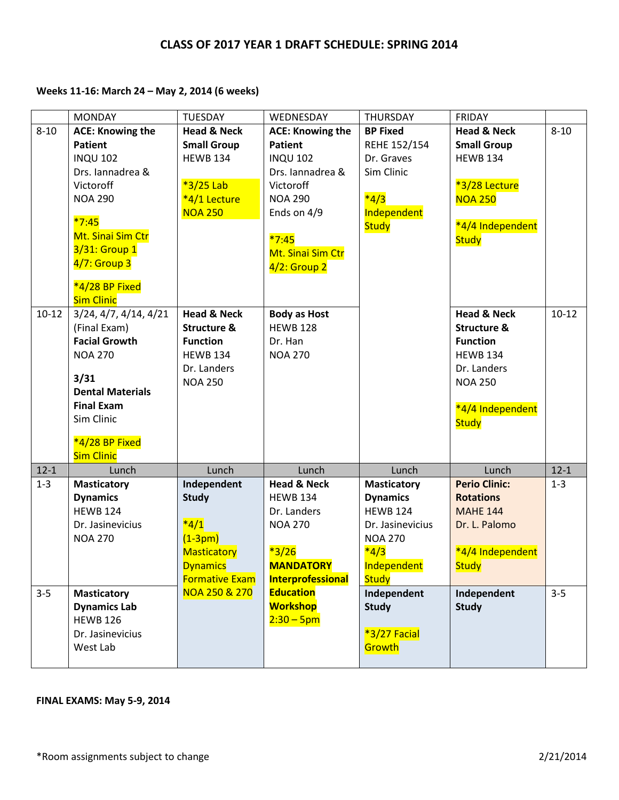# **Weeks 11-16: March 24 – May 2, 2014 (6 weeks)**

|           | <b>MONDAY</b>                       | <b>TUESDAY</b>         | WEDNESDAY               | <b>THURSDAY</b>    | <b>FRIDAY</b>          |          |
|-----------|-------------------------------------|------------------------|-------------------------|--------------------|------------------------|----------|
| $8 - 10$  | <b>ACE: Knowing the</b>             | <b>Head &amp; Neck</b> | <b>ACE: Knowing the</b> | <b>BP Fixed</b>    | <b>Head &amp; Neck</b> | $8 - 10$ |
|           | <b>Patient</b>                      | <b>Small Group</b>     | <b>Patient</b>          | REHE 152/154       | <b>Small Group</b>     |          |
|           | <b>INQU 102</b>                     | <b>HEWB 134</b>        | <b>INQU 102</b>         | Dr. Graves         | <b>HEWB 134</b>        |          |
|           | Drs. Iannadrea &                    |                        | Drs. Iannadrea &        | Sim Clinic         |                        |          |
|           | Victoroff                           | *3/25 Lab              | Victoroff               |                    | *3/28 Lecture          |          |
|           | <b>NOA 290</b>                      | *4/1 Lecture           | <b>NOA 290</b>          | $*4/3$             | <b>NOA 250</b>         |          |
|           |                                     | <b>NOA 250</b>         | Ends on 4/9             | Independent        |                        |          |
|           | $*7:45$                             |                        |                         | <b>Study</b>       | *4/4 Independent       |          |
|           | Mt. Sinai Sim Ctr                   |                        | $*7:45$                 |                    | <b>Study</b>           |          |
|           | 3/31: Group 1                       |                        | Mt. Sinai Sim Ctr       |                    |                        |          |
|           | 4/7: Group 3                        |                        | $4/2$ : Group 2         |                    |                        |          |
|           | *4/28 BP Fixed                      |                        |                         |                    |                        |          |
|           | <b>Sim Clinic</b>                   |                        |                         |                    |                        |          |
| $10 - 12$ | 3/24, 4/7, 4/14, 4/21               | <b>Head &amp; Neck</b> | <b>Body as Host</b>     |                    | <b>Head &amp; Neck</b> | $10-12$  |
|           | (Final Exam)                        | <b>Structure &amp;</b> | <b>HEWB 128</b>         |                    | <b>Structure &amp;</b> |          |
|           | <b>Facial Growth</b>                | <b>Function</b>        | Dr. Han                 |                    | <b>Function</b>        |          |
|           | <b>NOA 270</b>                      | <b>HEWB 134</b>        | <b>NOA 270</b>          |                    | <b>HEWB 134</b>        |          |
|           |                                     | Dr. Landers            |                         |                    | Dr. Landers            |          |
|           | 3/31                                | <b>NOA 250</b>         |                         |                    | <b>NOA 250</b>         |          |
|           | <b>Dental Materials</b>             |                        |                         |                    |                        |          |
|           | <b>Final Exam</b>                   |                        |                         |                    | *4/4 Independent       |          |
|           | Sim Clinic                          |                        |                         |                    | <b>Study</b>           |          |
|           |                                     |                        |                         |                    |                        |          |
|           | *4/28 BP Fixed<br><b>Sim Clinic</b> |                        |                         |                    |                        |          |
| $12 - 1$  | Lunch                               | Lunch                  | Lunch                   | Lunch              | Lunch                  | $12 - 1$ |
| $1 - 3$   | <b>Masticatory</b>                  | Independent            | <b>Head &amp; Neck</b>  | <b>Masticatory</b> | <b>Perio Clinic:</b>   | $1 - 3$  |
|           | <b>Dynamics</b>                     | <b>Study</b>           | <b>HEWB 134</b>         | <b>Dynamics</b>    | <b>Rotations</b>       |          |
|           | <b>HEWB 124</b>                     |                        | Dr. Landers             | <b>HEWB 124</b>    | <b>MAHE 144</b>        |          |
|           | Dr. Jasinevicius                    | $*4/1$                 | <b>NOA 270</b>          | Dr. Jasinevicius   | Dr. L. Palomo          |          |
|           | <b>NOA 270</b>                      | $(1-3pm)$              |                         | <b>NOA 270</b>     |                        |          |
|           |                                     | <b>Masticatory</b>     | $*3/26$                 | $*4/3$             | *4/4 Independent       |          |
|           |                                     | <b>Dynamics</b>        | <b>MANDATORY</b>        | Independent        | <b>Study</b>           |          |
|           |                                     | <b>Formative Exam</b>  | Interprofessional       | <b>Study</b>       |                        |          |
| $3 - 5$   | <b>Masticatory</b>                  | NOA 250 & 270          | <b>Education</b>        | Independent        | Independent            | $3 - 5$  |
|           | <b>Dynamics Lab</b>                 |                        | <b>Workshop</b>         | <b>Study</b>       | <b>Study</b>           |          |
|           | <b>HEWB 126</b>                     |                        | $2:30 - 5$ pm           |                    |                        |          |
|           | Dr. Jasinevicius                    |                        |                         | *3/27 Facial       |                        |          |
|           | West Lab                            |                        |                         | Growth             |                        |          |
|           |                                     |                        |                         |                    |                        |          |

# **FINAL EXAMS: May 5-9, 2014**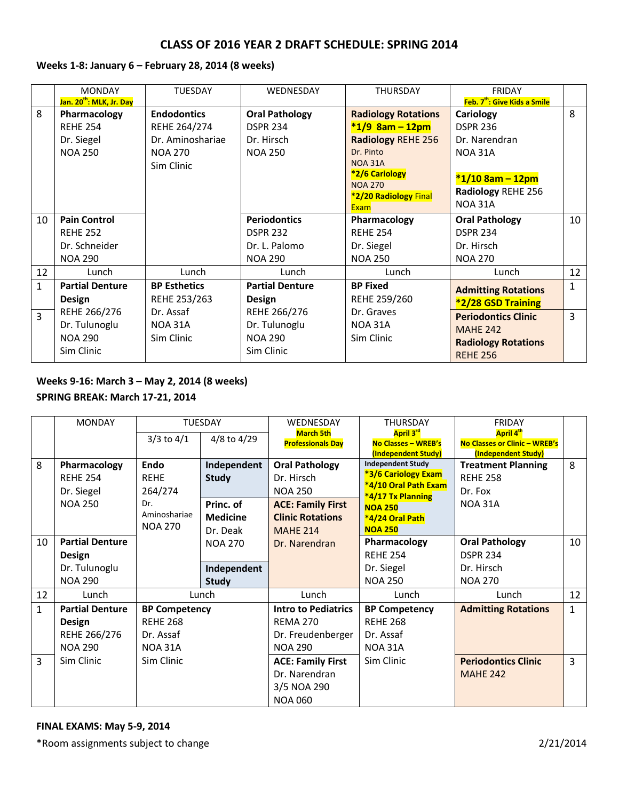#### **Weeks 1-8: January 6 – February 28, 2014 (8 weeks)**

|                | <b>MONDAY</b>                        | <b>TUESDAY</b>      | WEDNESDAY              | <b>THURSDAY</b>                         | <b>FRIDAY</b>                            |              |
|----------------|--------------------------------------|---------------------|------------------------|-----------------------------------------|------------------------------------------|--------------|
|                | Jan. 20 <sup>th</sup> : MLK, Jr. Day |                     |                        |                                         | Feb. 7 <sup>th</sup> : Give Kids a Smile |              |
| 8              | Pharmacology                         | <b>Endodontics</b>  | <b>Oral Pathology</b>  | <b>Radiology Rotations</b>              | Cariology                                | 8            |
|                | <b>REHE 254</b>                      | REHE 264/274        | <b>DSPR 234</b>        | $*1/9$ 8am - 12pm                       | <b>DSPR 236</b>                          |              |
|                | Dr. Siegel                           | Dr. Aminoshariae    | Dr. Hirsch             | <b>Radiology REHE 256</b>               | Dr. Narendran                            |              |
|                | <b>NOA 250</b>                       | <b>NOA 270</b>      | <b>NOA 250</b>         | Dr. Pinto                               | <b>NOA 31A</b>                           |              |
|                |                                      | Sim Clinic          |                        | <b>NOA 31A</b>                          |                                          |              |
|                |                                      |                     |                        | *2/6 Cariology                          | $*1/10$ 8am - 12pm                       |              |
|                |                                      |                     |                        | <b>NOA 270</b><br>*2/20 Radiology Final | Radiology REHE 256                       |              |
|                |                                      |                     |                        | Exam                                    | <b>NOA 31A</b>                           |              |
| 10             | <b>Pain Control</b>                  |                     | <b>Periodontics</b>    | Pharmacology                            | <b>Oral Pathology</b>                    | 10           |
|                | <b>REHE 252</b>                      |                     | <b>DSPR 232</b>        | <b>REHE 254</b>                         | <b>DSPR 234</b>                          |              |
|                | Dr. Schneider                        |                     | Dr. L. Palomo          | Dr. Siegel                              | Dr. Hirsch                               |              |
|                | <b>NOA 290</b>                       |                     | <b>NOA 290</b>         | <b>NOA 250</b>                          | <b>NOA 270</b>                           |              |
| 12             | Lunch                                | Lunch               | Lunch                  | Lunch                                   | Lunch                                    | 12           |
| $\mathbf{1}$   | <b>Partial Denture</b>               | <b>BP Esthetics</b> | <b>Partial Denture</b> | <b>BP Fixed</b>                         | <b>Admitting Rotations</b>               | $\mathbf{1}$ |
|                | Design                               | REHE 253/263        | Design                 | REHE 259/260                            | <b>*2/28 GSD Training</b>                |              |
| $\overline{3}$ | REHE 266/276                         | Dr. Assaf           | REHE 266/276           | Dr. Graves                              | <b>Periodontics Clinic</b>               | 3            |
|                | Dr. Tulunoglu                        | <b>NOA 31A</b>      | Dr. Tulunoglu          | <b>NOA 31A</b>                          | <b>MAHE 242</b>                          |              |
|                | <b>NOA 290</b>                       | Sim Clinic          | <b>NOA 290</b>         | Sim Clinic                              | <b>Radiology Rotations</b>               |              |
|                | Sim Clinic                           |                     | Sim Clinic             |                                         | <b>REHE 256</b>                          |              |

# **Weeks 9-16: March 3 – May 2, 2014 (8 weeks) SPRING BREAK: March 17-21, 2014**

|              | <b>MONDAY</b>          | <b>TUESDAY</b>       |                 | WEDNESDAY                  | <b>THURSDAY</b>                                   | <b>FRIDAY</b>                                        |              |
|--------------|------------------------|----------------------|-----------------|----------------------------|---------------------------------------------------|------------------------------------------------------|--------------|
|              |                        | $3/3$ to $4/1$       | 4/8 to 4/29     | <b>March 5th</b>           | April 3rd                                         | April 4 <sup>th</sup>                                |              |
|              |                        |                      |                 | <b>Professionals Day</b>   | <b>No Classes - WREB's</b><br>(Independent Study) | No Classes or Clinic - WREB's<br>(Independent Study) |              |
| 8            | Pharmacology           | <b>Endo</b>          | Independent     | <b>Oral Pathology</b>      | <b>Independent Study</b>                          | <b>Treatment Planning</b>                            | 8            |
|              | <b>REHE 254</b>        | <b>REHE</b>          | <b>Study</b>    | Dr. Hirsch                 | *3/6 Cariology Exam                               | <b>REHE 258</b>                                      |              |
|              |                        |                      |                 |                            | *4/10 Oral Path Exam                              |                                                      |              |
|              | Dr. Siegel             | 264/274              |                 | <b>NOA 250</b>             | *4/17 Tx Planning                                 | Dr. Fox                                              |              |
|              | <b>NOA 250</b>         | Dr.<br>Aminoshariae  | Princ. of       | <b>ACE: Family First</b>   | <b>NOA 250</b>                                    | <b>NOA 31A</b>                                       |              |
|              |                        | <b>NOA 270</b>       | <b>Medicine</b> | <b>Clinic Rotations</b>    | *4/24 Oral Path                                   |                                                      |              |
|              |                        |                      | Dr. Deak        | <b>MAHE 214</b>            | <b>NOA 250</b>                                    |                                                      |              |
| 10           | <b>Partial Denture</b> |                      | <b>NOA 270</b>  | Dr. Narendran              | Pharmacology                                      | <b>Oral Pathology</b>                                | 10           |
|              | Design                 |                      |                 |                            | <b>REHE 254</b>                                   | <b>DSPR 234</b>                                      |              |
|              | Dr. Tulunoglu          |                      | Independent     |                            | Dr. Siegel                                        | Dr. Hirsch                                           |              |
|              | <b>NOA 290</b>         |                      | <b>Study</b>    |                            | <b>NOA 250</b>                                    | <b>NOA 270</b>                                       |              |
| 12           | Lunch                  |                      | Lunch           | Lunch                      | Lunch                                             | Lunch                                                | 12           |
| $\mathbf{1}$ | <b>Partial Denture</b> | <b>BP Competency</b> |                 | <b>Intro to Pediatrics</b> | <b>BP Competency</b>                              | <b>Admitting Rotations</b>                           | $\mathbf{1}$ |
|              | Design                 | <b>REHE 268</b>      |                 | <b>REMA 270</b>            | <b>REHE 268</b>                                   |                                                      |              |
|              | REHE 266/276           | Dr. Assaf            |                 | Dr. Freudenberger          | Dr. Assaf                                         |                                                      |              |
|              | <b>NOA 290</b>         | <b>NOA 31A</b>       |                 | <b>NOA 290</b>             | <b>NOA 31A</b>                                    |                                                      |              |
| 3            | Sim Clinic             | Sim Clinic           |                 | <b>ACE: Family First</b>   | Sim Clinic                                        | <b>Periodontics Clinic</b>                           | 3            |
|              |                        |                      |                 | Dr. Narendran              |                                                   | <b>MAHE 242</b>                                      |              |
|              |                        |                      |                 | 3/5 NOA 290                |                                                   |                                                      |              |
|              |                        |                      |                 | <b>NOA 060</b>             |                                                   |                                                      |              |

#### **FINAL EXAMS: May 5-9, 2014**

\*Room assignments subject to change 2/21/2014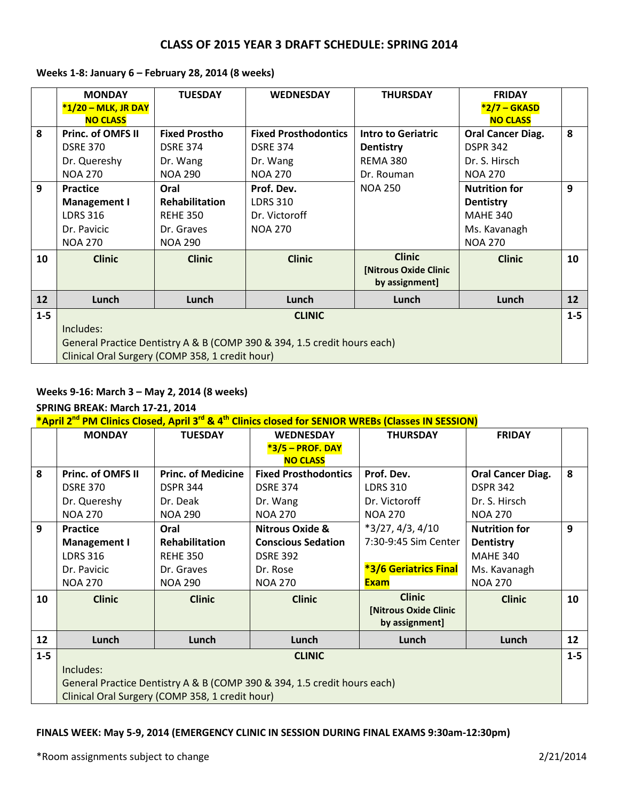|         | <b>MONDAY</b>                                   | <b>TUESDAY</b>        | <b>WEDNESDAY</b>                                                         | <b>THURSDAY</b>                         | <b>FRIDAY</b>            |         |
|---------|-------------------------------------------------|-----------------------|--------------------------------------------------------------------------|-----------------------------------------|--------------------------|---------|
|         | *1/20 - MLK, JR DAY                             |                       |                                                                          |                                         | *2/7 - GKASD             |         |
|         | <b>NO CLASS</b>                                 |                       |                                                                          |                                         | <b>NO CLASS</b>          |         |
| 8       | Princ. of OMFS II                               | <b>Fixed Prostho</b>  | <b>Fixed Prosthodontics</b>                                              | <b>Intro to Geriatric</b>               | <b>Oral Cancer Diag.</b> | 8       |
|         | <b>DSRE 370</b>                                 | <b>DSRE 374</b>       | <b>DSRE 374</b>                                                          | <b>Dentistry</b>                        | <b>DSPR 342</b>          |         |
|         | Dr. Quereshy                                    | Dr. Wang              | Dr. Wang                                                                 | <b>REMA 380</b>                         | Dr. S. Hirsch            |         |
|         | <b>NOA 270</b>                                  | <b>NOA 290</b>        | <b>NOA 270</b>                                                           | Dr. Rouman                              | <b>NOA 270</b>           |         |
| 9       | <b>Practice</b>                                 | Oral                  | Prof. Dev.                                                               | <b>NOA 250</b>                          | <b>Nutrition for</b>     | 9       |
|         | <b>Management I</b>                             | <b>Rehabilitation</b> | <b>LDRS 310</b>                                                          |                                         | <b>Dentistry</b>         |         |
|         | <b>LDRS 316</b>                                 | <b>REHE 350</b>       | Dr. Victoroff                                                            |                                         | <b>MAHE 340</b>          |         |
|         | Dr. Pavicic                                     | Dr. Graves            | <b>NOA 270</b>                                                           |                                         | Ms. Kavanagh             |         |
|         | <b>NOA 270</b>                                  | <b>NOA 290</b>        |                                                                          |                                         | <b>NOA 270</b>           |         |
| 10      | <b>Clinic</b>                                   | <b>Clinic</b>         | <b>Clinic</b>                                                            | <b>Clinic</b>                           | <b>Clinic</b>            | 10      |
|         |                                                 |                       |                                                                          | [Nitrous Oxide Clinic<br>by assignment] |                          |         |
| 12      | Lunch                                           | Lunch                 | Lunch                                                                    | Lunch                                   | Lunch                    | 12      |
| $1 - 5$ |                                                 |                       | <b>CLINIC</b>                                                            |                                         |                          | $1 - 5$ |
|         | Includes:                                       |                       |                                                                          |                                         |                          |         |
|         |                                                 |                       | General Practice Dentistry A & B (COMP 390 & 394, 1.5 credit hours each) |                                         |                          |         |
|         | Clinical Oral Surgery (COMP 358, 1 credit hour) |                       |                                                                          |                                         |                          |         |

### **Weeks 1-8: January 6 – February 28, 2014 (8 weeks)**

### **Weeks 9-16: March 3 – May 2, 2014 (8 weeks)**

# **SPRING BREAK: March 17-21, 2014**

**\*April 2nd PM Clinics Closed, April 3rd & 4th Clinics closed for SENIOR WREBs (Classes IN SESSION)**

|         | <b>MONDAY</b>       | <b>TUESDAY</b>                                  | <b>WEDNESDAY</b>                                                         | <b>THURSDAY</b>       | <b>FRIDAY</b>            |         |  |
|---------|---------------------|-------------------------------------------------|--------------------------------------------------------------------------|-----------------------|--------------------------|---------|--|
|         |                     |                                                 | *3/5 - PROF. DAY                                                         |                       |                          |         |  |
|         |                     |                                                 | <b>NO CLASS</b>                                                          |                       |                          |         |  |
| 8       | Princ. of OMFS II   | <b>Princ. of Medicine</b>                       | <b>Fixed Prosthodontics</b>                                              | Prof. Dev.            | <b>Oral Cancer Diag.</b> | 8       |  |
|         | <b>DSRE 370</b>     | <b>DSPR 344</b>                                 | <b>DSRE 374</b>                                                          | <b>LDRS 310</b>       | <b>DSPR 342</b>          |         |  |
|         | Dr. Quereshy        | Dr. Deak                                        | Dr. Wang                                                                 | Dr. Victoroff         | Dr. S. Hirsch            |         |  |
|         | <b>NOA 270</b>      | <b>NOA 290</b>                                  | <b>NOA 270</b>                                                           | <b>NOA 270</b>        | <b>NOA 270</b>           |         |  |
| 9       | <b>Practice</b>     | Oral                                            | <b>Nitrous Oxide &amp;</b>                                               | $*3/27, 4/3, 4/10$    | <b>Nutrition for</b>     | 9       |  |
|         | <b>Management I</b> | <b>Rehabilitation</b>                           | <b>Conscious Sedation</b>                                                | 7:30-9:45 Sim Center  | <b>Dentistry</b>         |         |  |
|         | <b>LDRS 316</b>     | <b>REHE 350</b>                                 | <b>DSRE 392</b>                                                          |                       | <b>MAHE 340</b>          |         |  |
|         | Dr. Pavicic         | Dr. Graves                                      | Dr. Rose                                                                 | *3/6 Geriatrics Final | Ms. Kavanagh             |         |  |
|         | <b>NOA 270</b>      | <b>NOA 290</b>                                  | <b>NOA 270</b>                                                           | <b>Exam</b>           | <b>NOA 270</b>           |         |  |
| 10      | <b>Clinic</b>       | <b>Clinic</b>                                   | <b>Clinic</b>                                                            | <b>Clinic</b>         | <b>Clinic</b>            | 10      |  |
|         |                     |                                                 |                                                                          | [Nitrous Oxide Clinic |                          |         |  |
|         |                     |                                                 |                                                                          | by assignment]        |                          |         |  |
| 12      | Lunch               | Lunch                                           | Lunch                                                                    | Lunch                 | Lunch                    | 12      |  |
| $1 - 5$ |                     |                                                 | <b>CLINIC</b>                                                            |                       |                          | $1 - 5$ |  |
|         | Includes:           |                                                 |                                                                          |                       |                          |         |  |
|         |                     |                                                 | General Practice Dentistry A & B (COMP 390 & 394, 1.5 credit hours each) |                       |                          |         |  |
|         |                     | Clinical Oral Surgery (COMP 358, 1 credit hour) |                                                                          |                       |                          |         |  |

#### **FINALS WEEK: May 5-9, 2014 (EMERGENCY CLINIC IN SESSION DURING FINAL EXAMS 9:30am-12:30pm)**